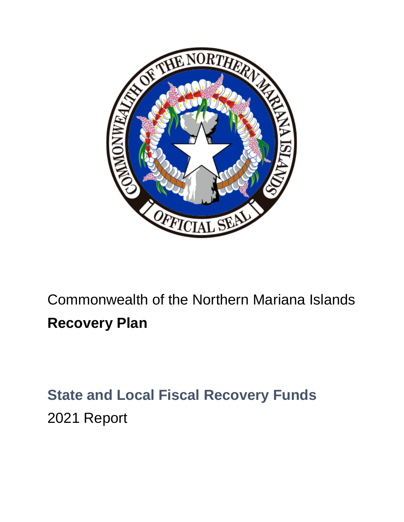

# Commonwealth of the Northern Mariana Islands **Recovery Plan**

## **State and Local Fiscal Recovery Funds** 2021 Report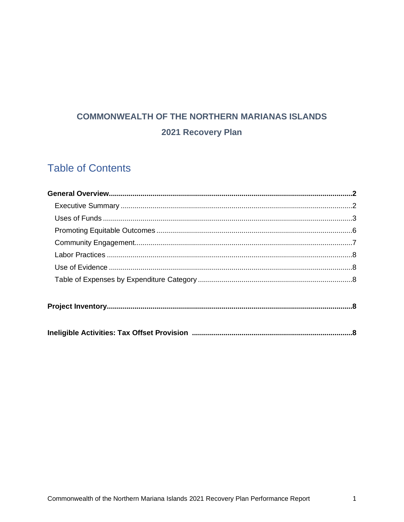## **COMMONWEALTH OF THE NORTHERN MARIANAS ISLANDS** 2021 Recovery Plan

### **Table of Contents**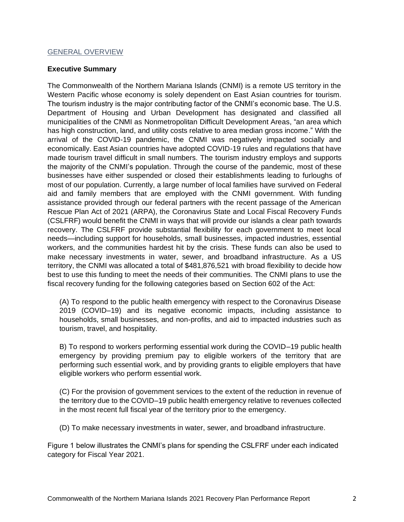#### GENERAL OVERVIEW

#### **Executive Summary**

The Commonwealth of the Northern Mariana Islands (CNMI) is a remote US territory in the Western Pacific whose economy is solely dependent on East Asian countries for tourism. The tourism industry is the major contributing factor of the CNMI's economic base. The U.S. Department of Housing and Urban Development has designated and classified all municipalities of the CNMI as Nonmetropolitan Difficult Development Areas, "an area which has high construction, land, and utility costs relative to area median gross income." With the arrival of the COVID-19 pandemic, the CNMI was negatively impacted socially and economically. East Asian countries have adopted COVID-19 rules and regulations that have made tourism travel difficult in small numbers. The tourism industry employs and supports the majority of the CNMI's population. Through the course of the pandemic, most of these businesses have either suspended or closed their establishments leading to furloughs of most of our population. Currently, a large number of local families have survived on Federal aid and family members that are employed with the CNMI government. With funding assistance provided through our federal partners with the recent passage of the American Rescue Plan Act of 2021 (ARPA), the Coronavirus State and Local Fiscal Recovery Funds (CSLFRF) would benefit the CNMI in ways that will provide our islands a clear path towards recovery. The CSLFRF provide substantial flexibility for each government to meet local needs—including support for households, small businesses, impacted industries, essential workers, and the communities hardest hit by the crisis. These funds can also be used to make necessary investments in water, sewer, and broadband infrastructure. As a US territory, the CNMI was allocated a total of \$481,876,521 with broad flexibility to decide how best to use this funding to meet the needs of their communities. The CNMI plans to use the fiscal recovery funding for the following categories based on Section 602 of the Act:

(A) To respond to the public health emergency with respect to the Coronavirus Disease 2019 (COVID–19) and its negative economic impacts, including assistance to households, small businesses, and non-profits, and aid to impacted industries such as tourism, travel, and hospitality.

B) To respond to workers performing essential work during the COVID–19 public health emergency by providing premium pay to eligible workers of the territory that are performing such essential work, and by providing grants to eligible employers that have eligible workers who perform essential work.

(C) For the provision of government services to the extent of the reduction in revenue of the territory due to the COVID–19 public health emergency relative to revenues collected in the most recent full fiscal year of the territory prior to the emergency.

(D) To make necessary investments in water, sewer, and broadband infrastructure.

Figure 1 below illustrates the CNMI's plans for spending the CSLFRF under each indicated category for Fiscal Year 2021.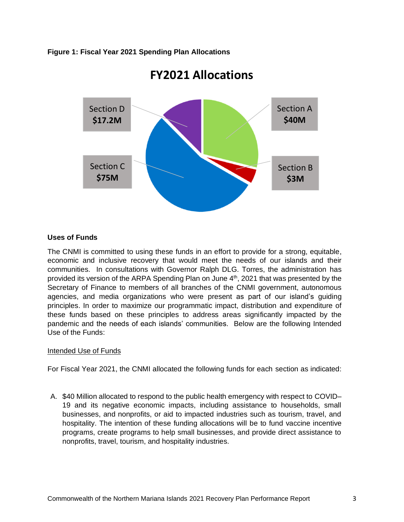#### **Figure 1: Fiscal Year 2021 Spending Plan Allocations**



### **FY2021 Allocations**

#### **Uses of Funds**

The CNMI is committed to using these funds in an effort to provide for a strong, equitable, economic and inclusive recovery that would meet the needs of our islands and their communities. In consultations with Governor Ralph DLG. Torres, the administration has provided its version of the ARPA Spending Plan on June 4<sup>th</sup>, 2021 that was presented by the Secretary of Finance to members of all branches of the CNMI government, autonomous agencies, and media organizations who were present as part of our island's guiding principles. In order to maximize our programmatic impact, distribution and expenditure of these funds based on these principles to address areas significantly impacted by the pandemic and the needs of each islands' communities. Below are the following Intended Use of the Funds:

#### Intended Use of Funds

For Fiscal Year 2021, the CNMI allocated the following funds for each section as indicated:

A. \$40 Million allocated to respond to the public health emergency with respect to COVID– 19 and its negative economic impacts, including assistance to households, small businesses, and nonprofits, or aid to impacted industries such as tourism, travel, and hospitality. The intention of these funding allocations will be to fund vaccine incentive programs, create programs to help small businesses, and provide direct assistance to nonprofits, travel, tourism, and hospitality industries.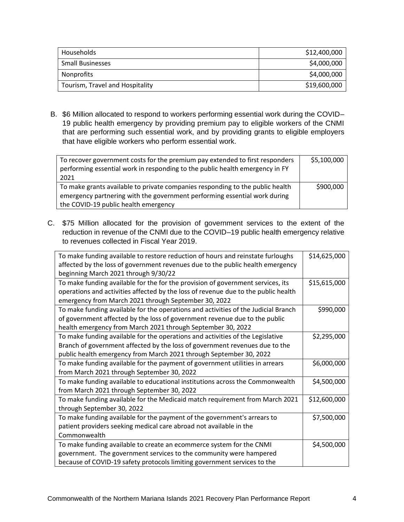| Households                      | \$12,400,000 |
|---------------------------------|--------------|
| <b>Small Businesses</b>         | \$4,000,000  |
| Nonprofits                      | \$4,000,000  |
| Tourism, Travel and Hospitality | \$19,600,000 |

B. \$6 Million allocated to respond to workers performing essential work during the COVID– 19 public health emergency by providing premium pay to eligible workers of the CNMI that are performing such essential work, and by providing grants to eligible employers that have eligible workers who perform essential work.

| To recover government costs for the premium pay extended to first responders<br>performing essential work in responding to the public health emergency in FY<br>2021 | \$5,100,000 |
|----------------------------------------------------------------------------------------------------------------------------------------------------------------------|-------------|
| To make grants available to private companies responding to the public health                                                                                        | \$900,000   |
| emergency partnering with the government performing essential work during                                                                                            |             |
| the COVID-19 public health emergency                                                                                                                                 |             |

C. \$75 Million allocated for the provision of government services to the extent of the reduction in revenue of the CNMI due to the COVID–19 public health emergency relative to revenues collected in Fiscal Year 2019.

| To make funding available to restore reduction of hours and reinstate furloughs    | \$14,625,000 |
|------------------------------------------------------------------------------------|--------------|
| affected by the loss of government revenues due to the public health emergency     |              |
| beginning March 2021 through 9/30/22                                               |              |
| To make funding available for the for the provision of government services, its    | \$15,615,000 |
| operations and activities affected by the loss of revenue due to the public health |              |
| emergency from March 2021 through September 30, 2022                               |              |
| To make funding available for the operations and activities of the Judicial Branch | \$990,000    |
| of government affected by the loss of government revenue due to the public         |              |
| health emergency from March 2021 through September 30, 2022                        |              |
| To make funding available for the operations and activities of the Legislative     | \$2,295,000  |
| Branch of government affected by the loss of government revenues due to the        |              |
| public health emergency from March 2021 through September 30, 2022                 |              |
| To make funding available for the payment of government utilities in arrears       | \$6,000,000  |
| from March 2021 through September 30, 2022                                         |              |
| To make funding available to educational institutions across the Commonwealth      | \$4,500,000  |
| from March 2021 through September 30, 2022                                         |              |
| To make funding available for the Medicaid match requirement from March 2021       | \$12,600,000 |
| through September 30, 2022                                                         |              |
| To make funding available for the payment of the government's arrears to           | \$7,500,000  |
| patient providers seeking medical care abroad not available in the                 |              |
| Commonwealth                                                                       |              |
| To make funding available to create an ecommerce system for the CNMI               | \$4,500,000  |
| government. The government services to the community were hampered                 |              |
| because of COVID-19 safety protocols limiting government services to the           |              |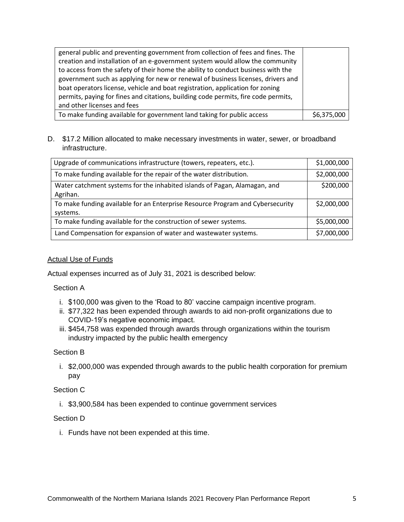| general public and preventing government from collection of fees and fines. The    |             |
|------------------------------------------------------------------------------------|-------------|
| creation and installation of an e-government system would allow the community      |             |
| to access from the safety of their home the ability to conduct business with the   |             |
| government such as applying for new or renewal of business licenses, drivers and   |             |
| boat operators license, vehicle and boat registration, application for zoning      |             |
| permits, paying for fines and citations, building code permits, fire code permits, |             |
| and other licenses and fees                                                        |             |
| To make funding available for government land taking for public access             | \$6,375,000 |

#### D. \$17.2 Million allocated to make necessary investments in water, sewer, or broadband infrastructure.

| Upgrade of communications infrastructure (towers, repeaters, etc.).                        | \$1,000,000 |
|--------------------------------------------------------------------------------------------|-------------|
| To make funding available for the repair of the water distribution.                        |             |
| Water catchment systems for the inhabited islands of Pagan, Alamagan, and<br>Agrihan.      | \$200,000   |
| To make funding available for an Enterprise Resource Program and Cybersecurity<br>systems. | \$2,000,000 |
| To make funding available for the construction of sewer systems.                           | \$5,000,000 |
| Land Compensation for expansion of water and wastewater systems.                           | \$7,000,000 |

#### Actual Use of Funds

Actual expenses incurred as of July 31, 2021 is described below:

Section A

- i. \$100,000 was given to the 'Road to 80' vaccine campaign incentive program.
- ii. \$77,322 has been expended through awards to aid non-profit organizations due to COVID-19's negative economic impact.
- iii. \$454,758 was expended through awards through organizations within the tourism industry impacted by the public health emergency

#### Section B

i. \$2,000,000 was expended through awards to the public health corporation for premium pay

#### Section C

i. \$3,900,584 has been expended to continue government services

#### Section D

i. Funds have not been expended at this time.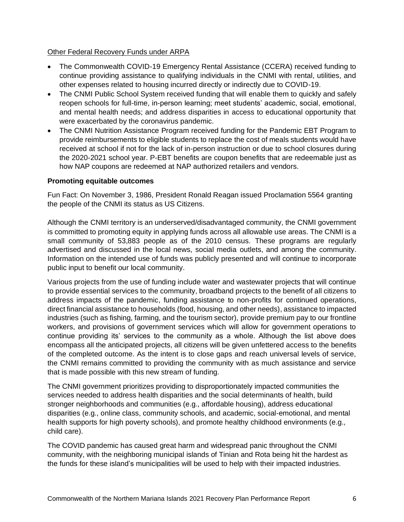#### Other Federal Recovery Funds under ARPA

- The Commonwealth COVID-19 Emergency Rental Assistance (CCERA) received funding to continue providing assistance to qualifying individuals in the CNMI with rental, utilities, and other expenses related to housing incurred directly or indirectly due to COVID-19.
- The CNMI Public School System received funding that will enable them to quickly and safely reopen schools for full-time, in-person learning; meet students' academic, social, emotional, and mental health needs; and address disparities in access to educational opportunity that were exacerbated by the coronavirus pandemic.
- The CNMI Nutrition Assistance Program received funding for the Pandemic EBT Program to provide reimbursements to eligible students to replace the cost of meals students would have received at school if not for the lack of in-person instruction or due to school closures during the 2020-2021 school year. P-EBT benefits are coupon benefits that are redeemable just as how NAP coupons are redeemed at NAP authorized retailers and vendors.

#### **Promoting equitable outcomes**

Fun Fact: On November 3, 1986, President Ronald Reagan issued Proclamation 5564 granting the people of the CNMI its status as US Citizens.

Although the CNMI territory is an underserved/disadvantaged community, the CNMI government is committed to promoting equity in applying funds across all allowable use areas. The CNMI is a small community of 53,883 people as of the 2010 census. These programs are regularly advertised and discussed in the local news, social media outlets, and among the community. Information on the intended use of funds was publicly presented and will continue to incorporate public input to benefit our local community.

Various projects from the use of funding include water and wastewater projects that will continue to provide essential services to the community, broadband projects to the benefit of all citizens to address impacts of the pandemic, funding assistance to non-profits for continued operations, direct financial assistance to households (food, housing, and other needs), assistance to impacted industries (such as fishing, farming, and the tourism sector), provide premium pay to our frontline workers, and provisions of government services which will allow for government operations to continue providing its' services to the community as a whole. Although the list above does encompass all the anticipated projects, all citizens will be given unfettered access to the benefits of the completed outcome. As the intent is to close gaps and reach universal levels of service, the CNMI remains committed to providing the community with as much assistance and service that is made possible with this new stream of funding.

The CNMI government prioritizes providing to disproportionately impacted communities the services needed to address health disparities and the social determinants of health, build stronger neighborhoods and communities (e.g., affordable housing), address educational disparities (e.g., online class, community schools, and academic, social-emotional, and mental health supports for high poverty schools), and promote healthy childhood environments (e.g., child care).

The COVID pandemic has caused great harm and widespread panic throughout the CNMI community, with the neighboring municipal islands of Tinian and Rota being hit the hardest as the funds for these island's municipalities will be used to help with their impacted industries.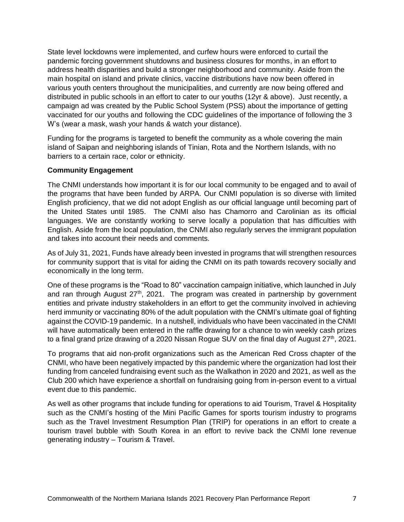State level lockdowns were implemented, and curfew hours were enforced to curtail the pandemic forcing government shutdowns and business closures for months, in an effort to address health disparities and build a stronger neighborhood and community. Aside from the main hospital on island and private clinics, vaccine distributions have now been offered in various youth centers throughout the municipalities, and currently are now being offered and distributed in public schools in an effort to cater to our youths (12yr & above). Just recently, a campaign ad was created by the Public School System (PSS) about the importance of getting vaccinated for our youths and following the CDC guidelines of the importance of following the 3 W's (wear a mask, wash your hands & watch your distance).

Funding for the programs is targeted to benefit the community as a whole covering the main island of Saipan and neighboring islands of Tinian, Rota and the Northern Islands, with no barriers to a certain race, color or ethnicity.

#### **Community Engagement**

The CNMI understands how important it is for our local community to be engaged and to avail of the programs that have been funded by ARPA. Our CNMI population is so diverse with limited English proficiency, that we did not adopt English as our official language until becoming part of the United States until 1985. The CNMI also has Chamorro and Carolinian as its official languages. We are constantly working to serve locally a population that has difficulties with English. Aside from the local population, the CNMI also regularly serves the immigrant population and takes into account their needs and comments.

As of July 31, 2021, Funds have already been invested in programs that will strengthen resources for community support that is vital for aiding the CNMI on its path towards recovery socially and economically in the long term.

One of these programs is the "Road to 80" vaccination campaign initiative, which launched in July and ran through August  $27<sup>th</sup>$ , 2021. The program was created in partnership by government entities and private industry stakeholders in an effort to get the community involved in achieving herd immunity or vaccinating 80% of the adult population with the CNMI's ultimate goal of fighting against the COVID-19 pandemic. In a nutshell, individuals who have been vaccinated in the CNMI will have automatically been entered in the raffle drawing for a chance to win weekly cash prizes to a final grand prize drawing of a 2020 Nissan Rogue SUV on the final day of August  $27<sup>th</sup>$ , 2021.

To programs that aid non-profit organizations such as the American Red Cross chapter of the CNMI, who have been negatively impacted by this pandemic where the organization had lost their funding from canceled fundraising event such as the Walkathon in 2020 and 2021, as well as the Club 200 which have experience a shortfall on fundraising going from in-person event to a virtual event due to this pandemic.

As well as other programs that include funding for operations to aid Tourism, Travel & Hospitality such as the CNMI's hosting of the Mini Pacific Games for sports tourism industry to programs such as the Travel Investment Resumption Plan (TRIP) for operations in an effort to create a tourism travel bubble with South Korea in an effort to revive back the CNMI lone revenue generating industry – Tourism & Travel.